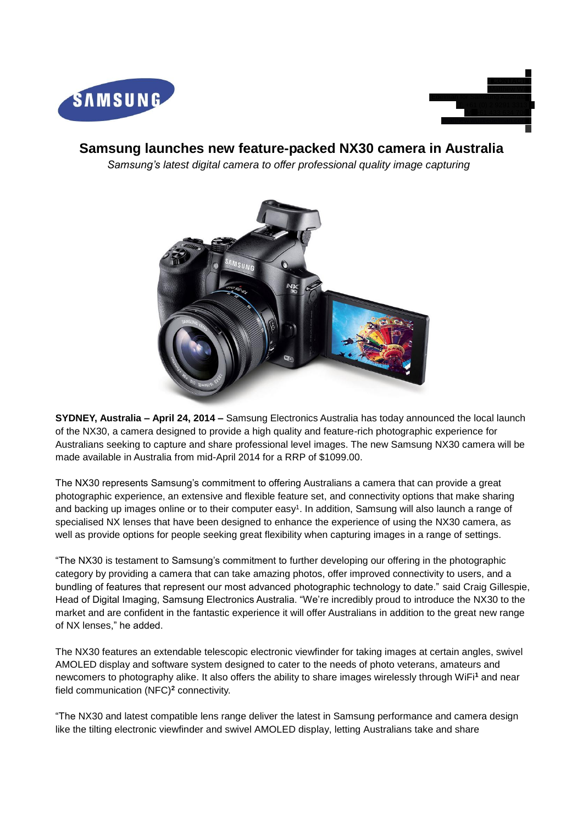



# **Samsung launches new feature-packed NX30 camera in Australia**

*Samsung's latest digital camera to offer professional quality image capturing* 



**SYDNEY, Australia – April 24, 2014 –** Samsung Electronics Australia has today announced the local launch of the NX30, a camera designed to provide a high quality and feature-rich photographic experience for Australians seeking to capture and share professional level images. The new Samsung NX30 camera will be made available in Australia from mid-April 2014 for a RRP of \$1099.00.

The NX30 represents Samsung's commitment to offering Australians a camera that can provide a great photographic experience, an extensive and flexible feature set, and connectivity options that make sharing and backing up images online or to their computer easy<sup>1</sup>. In addition, Samsung will also launch a range of specialised NX lenses that have been designed to enhance the experience of using the NX30 camera, as well as provide options for people seeking great flexibility when capturing images in a range of settings.

"The NX30 is testament to Samsung's commitment to further developing our offering in the photographic category by providing a camera that can take amazing photos, offer improved connectivity to users, and a bundling of features that represent our most advanced photographic technology to date." said Craig Gillespie, Head of Digital Imaging, Samsung Electronics Australia. "We're incredibly proud to introduce the NX30 to the market and are confident in the fantastic experience it will offer Australians in addition to the great new range of NX lenses," he added.

The NX30 features an extendable telescopic electronic viewfinder for taking images at certain angles, swivel AMOLED display and software system designed to cater to the needs of photo veterans, amateurs and newcomers to photography alike. It also offers the ability to share images wirelessly through WiFi**<sup>1</sup>** and near field communication (NFC)**<sup>2</sup>** connectivity.

"The NX30 and latest compatible lens range deliver the latest in Samsung performance and camera design like the tilting electronic viewfinder and swivel AMOLED display, letting Australians take and share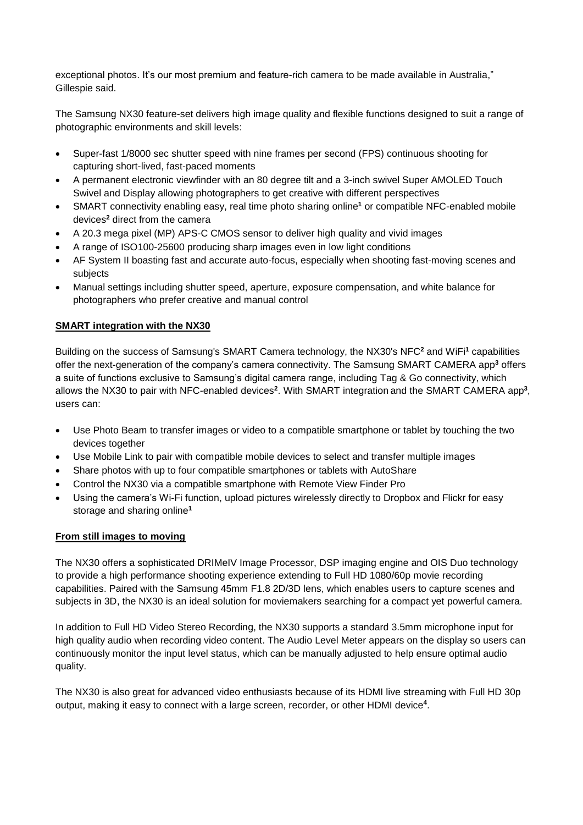exceptional photos. It's our most premium and feature-rich camera to be made available in Australia," Gillespie said.

The Samsung NX30 feature-set delivers high image quality and flexible functions designed to suit a range of photographic environments and skill levels:

- Super-fast 1/8000 sec shutter speed with nine frames per second (FPS) continuous shooting for capturing short-lived, fast-paced moments
- A permanent electronic viewfinder with an 80 degree tilt and a 3-inch swivel Super AMOLED Touch Swivel and Display allowing photographers to get creative with different perspectives
- SMART connectivity enabling easy, real time photo sharing online**<sup>1</sup>** or compatible NFC-enabled mobile devices**<sup>2</sup>** direct from the camera
- A 20.3 mega pixel (MP) APS-C CMOS sensor to deliver high quality and vivid images
- A range of ISO100-25600 producing sharp images even in low light conditions
- AF System II boasting fast and accurate auto-focus, especially when shooting fast-moving scenes and subjects
- Manual settings including shutter speed, aperture, exposure compensation, and white balance for photographers who prefer creative and manual control

## **SMART integration with the NX30**

Building on the success of Samsung's SMART Camera technology, the NX30's NFC**<sup>2</sup>** and WiFi**<sup>1</sup>** capabilities offer the next-generation of the company's camera connectivity. The Samsung SMART CAMERA app**<sup>3</sup>** offers a suite of functions exclusive to Samsung's digital camera range, including Tag & Go connectivity, which allows the NX30 to pair with NFC-enabled devices<sup>2</sup>. With SMART integration and the SMART CAMERA app<sup>3</sup>, users can:

- Use Photo Beam to transfer images or video to a compatible smartphone or tablet by touching the two devices together
- Use Mobile Link to pair with compatible mobile devices to select and transfer multiple images
- Share photos with up to four compatible smartphones or tablets with AutoShare
- Control the NX30 via a compatible smartphone with Remote View Finder Pro
- Using the camera's Wi-Fi function, upload pictures wirelessly directly to Dropbox and Flickr for easy storage and sharing online**<sup>1</sup>**

#### **From still images to moving**

The NX30 offers a sophisticated DRIMeIV Image Processor, DSP imaging engine and OIS Duo technology to provide a high performance shooting experience extending to Full HD 1080/60p movie recording capabilities. Paired with the Samsung 45mm F1.8 2D/3D lens, which enables users to capture scenes and subjects in 3D, the NX30 is an ideal solution for moviemakers searching for a compact yet powerful camera.

In addition to Full HD Video Stereo Recording, the NX30 supports a standard 3.5mm microphone input for high quality audio when recording video content. The Audio Level Meter appears on the display so users can continuously monitor the input level status, which can be manually adjusted to help ensure optimal audio quality.

The NX30 is also great for advanced video enthusiasts because of its HDMI live streaming with Full HD 30p output, making it easy to connect with a large screen, recorder, or other HDMI device**<sup>4</sup>** .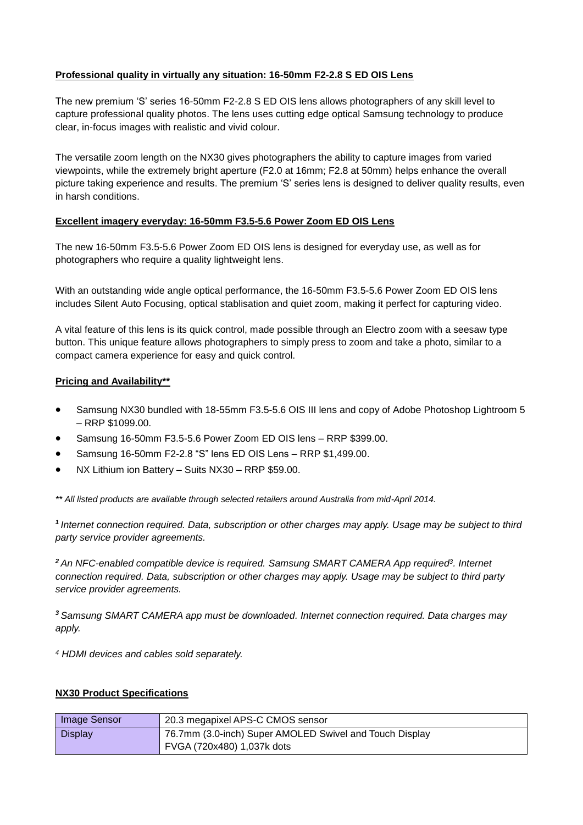## **Professional quality in virtually any situation: 16-50mm F2-2.8 S ED OIS Lens**

The new premium 'S' series 16-50mm F2-2.8 S ED OIS lens allows photographers of any skill level to capture professional quality photos. The lens uses cutting edge optical Samsung technology to produce clear, in-focus images with realistic and vivid colour.

The versatile zoom length on the NX30 gives photographers the ability to capture images from varied viewpoints, while the extremely bright aperture (F2.0 at 16mm; F2.8 at 50mm) helps enhance the overall picture taking experience and results. The premium 'S' series lens is designed to deliver quality results, even in harsh conditions.

#### **Excellent imagery everyday: 16-50mm F3.5-5.6 Power Zoom ED OIS Lens**

The new 16-50mm F3.5-5.6 Power Zoom ED OIS lens is designed for everyday use, as well as for photographers who require a quality lightweight lens.

With an outstanding wide angle optical performance, the 16-50mm F3.5-5.6 Power Zoom ED OIS lens includes Silent Auto Focusing, optical stablisation and quiet zoom, making it perfect for capturing video.

A vital feature of this lens is its quick control, made possible through an Electro zoom with a seesaw type button. This unique feature allows photographers to simply press to zoom and take a photo, similar to a compact camera experience for easy and quick control.

#### **Pricing and Availability\*\***

- Samsung NX30 bundled with 18-55mm F3.5-5.6 OIS III lens and copy of Adobe Photoshop Lightroom 5 – RRP \$1099.00.
- Samsung 16-50mm F3.5-5.6 Power Zoom ED OIS lens RRP \$399.00.
- Samsung 16-50mm F2-2.8 "S" lens ED OIS Lens RRP \$1,499.00.
- NX Lithium ion Battery Suits NX30 RRP \$59.00.

*\*\* All listed products are available through selected retailers around Australia from mid-April 2014.*

*<sup>1</sup>Internet connection required. Data, subscription or other charges may apply. Usage may be subject to third party service provider agreements.*

*<sup>2</sup>An NFC-enabled compatible device is required. Samsung SMART CAMERA App required<sup>3</sup> . Internet connection required. Data, subscription or other charges may apply. Usage may be subject to third party service provider agreements.*

*<sup>3</sup>Samsung SMART CAMERA app must be downloaded. Internet connection required. Data charges may apply.*

*<sup>4</sup> HDMI devices and cables sold separately.*

#### **NX30 Product Specifications**

| <b>Image Sensor</b> | 20.3 megapixel APS-C CMOS sensor                        |
|---------------------|---------------------------------------------------------|
| <b>Display</b>      | 76.7mm (3.0-inch) Super AMOLED Swivel and Touch Display |
|                     | FVGA (720x480) 1,037k dots                              |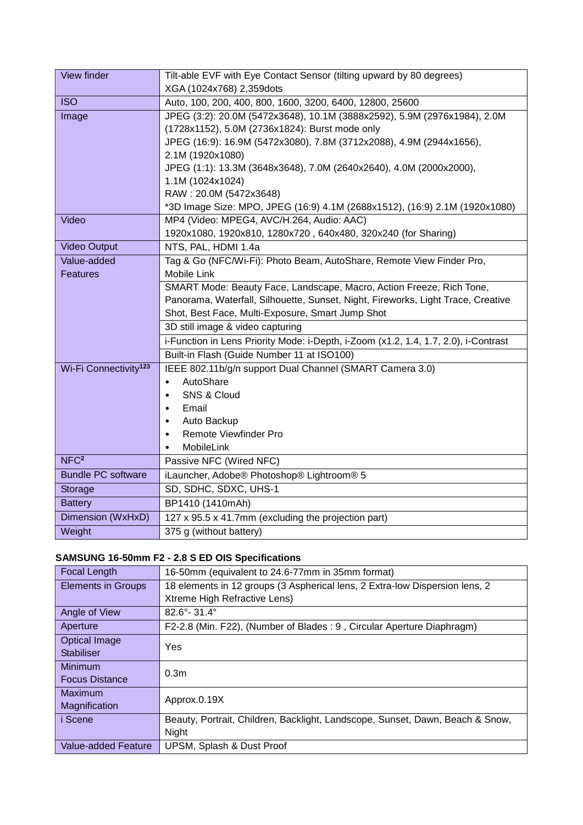| View finder                       | Tilt-able EVF with Eye Contact Sensor (tilting upward by 80 degrees)                |
|-----------------------------------|-------------------------------------------------------------------------------------|
|                                   | XGA (1024x768) 2,359dots                                                            |
| <b>ISO</b>                        | Auto, 100, 200, 400, 800, 1600, 3200, 6400, 12800, 25600                            |
| Image                             | JPEG (3:2): 20.0M (5472x3648), 10.1M (3888x2592), 5.9M (2976x1984), 2.0M            |
|                                   | (1728x1152), 5.0M (2736x1824): Burst mode only                                      |
|                                   | JPEG (16:9): 16.9M (5472x3080), 7.8M (3712x2088), 4.9M (2944x1656),                 |
|                                   | 2.1M (1920x1080)                                                                    |
|                                   | JPEG (1:1): 13.3M (3648x3648), 7.0M (2640x2640), 4.0M (2000x2000),                  |
|                                   | 1.1M (1024x1024)                                                                    |
|                                   | RAW: 20.0M (5472x3648)                                                              |
|                                   | *3D Image Size: MPO, JPEG (16:9) 4.1M (2688x1512), (16:9) 2.1M (1920x1080)          |
| Video                             | MP4 (Video: MPEG4, AVC/H.264, Audio: AAC)                                           |
|                                   | 1920x1080, 1920x810, 1280x720, 640x480, 320x240 (for Sharing)                       |
| <b>Video Output</b>               | NTS, PAL, HDMI 1.4a                                                                 |
| Value-added                       | Tag & Go (NFC/Wi-Fi): Photo Beam, AutoShare, Remote View Finder Pro,                |
| <b>Features</b>                   | Mobile Link                                                                         |
|                                   | SMART Mode: Beauty Face, Landscape, Macro, Action Freeze, Rich Tone,                |
|                                   | Panorama, Waterfall, Silhouette, Sunset, Night, Fireworks, Light Trace, Creative    |
|                                   | Shot, Best Face, Multi-Exposure, Smart Jump Shot                                    |
|                                   | 3D still image & video capturing                                                    |
|                                   | i-Function in Lens Priority Mode: i-Depth, i-Zoom (x1.2, 1.4, 1.7, 2.0), i-Contrast |
|                                   | Built-in Flash (Guide Number 11 at ISO100)                                          |
| Wi-Fi Connectivity <sup>123</sup> | IEEE 802.11b/g/n support Dual Channel (SMART Camera 3.0)                            |
|                                   | AutoShare<br>$\bullet$                                                              |
|                                   | SNS & Cloud<br>$\bullet$                                                            |
|                                   | Email<br>$\bullet$                                                                  |
|                                   | Auto Backup<br>$\bullet$                                                            |
|                                   | Remote Viewfinder Pro<br>$\bullet$                                                  |
| NFC <sup>2</sup>                  | MobileLink                                                                          |
|                                   | Passive NFC (Wired NFC)                                                             |
| <b>Bundle PC software</b>         | iLauncher, Adobe® Photoshop® Lightroom® 5                                           |
| Storage                           | SD, SDHC, SDXC, UHS-1                                                               |
| <b>Battery</b>                    | BP1410 (1410mAh)                                                                    |
| Dimension (WxHxD)                 | 127 x 95.5 x 41.7mm (excluding the projection part)                                 |
| Weight                            | 375 g (without battery)                                                             |

# **SAMSUNG 16-50mm F2 - 2.8 S ED OIS Specifications**

| <b>Focal Length</b>       | 16-50mm (equivalent to 24.6-77mm in 35mm format)                              |
|---------------------------|-------------------------------------------------------------------------------|
| <b>Elements in Groups</b> | 18 elements in 12 groups (3 Aspherical lens, 2 Extra-low Dispersion lens, 2   |
|                           | Xtreme High Refractive Lens)                                                  |
| Angle of View             | $82.6^{\circ} - 31.4^{\circ}$                                                 |
| Aperture                  | F2-2.8 (Min. F22), (Number of Blades: 9, Circular Aperture Diaphragm)         |
| <b>Optical Image</b>      | Yes                                                                           |
| <b>Stabiliser</b>         |                                                                               |
| <b>Minimum</b>            | 0.3 <sub>m</sub>                                                              |
| <b>Focus Distance</b>     |                                                                               |
| <b>Maximum</b>            | Approx.0.19X                                                                  |
| Magnification             |                                                                               |
| i Scene                   | Beauty, Portrait, Children, Backlight, Landscope, Sunset, Dawn, Beach & Snow, |
|                           | Night                                                                         |
| Value-added Feature       | UPSM, Splash & Dust Proof                                                     |